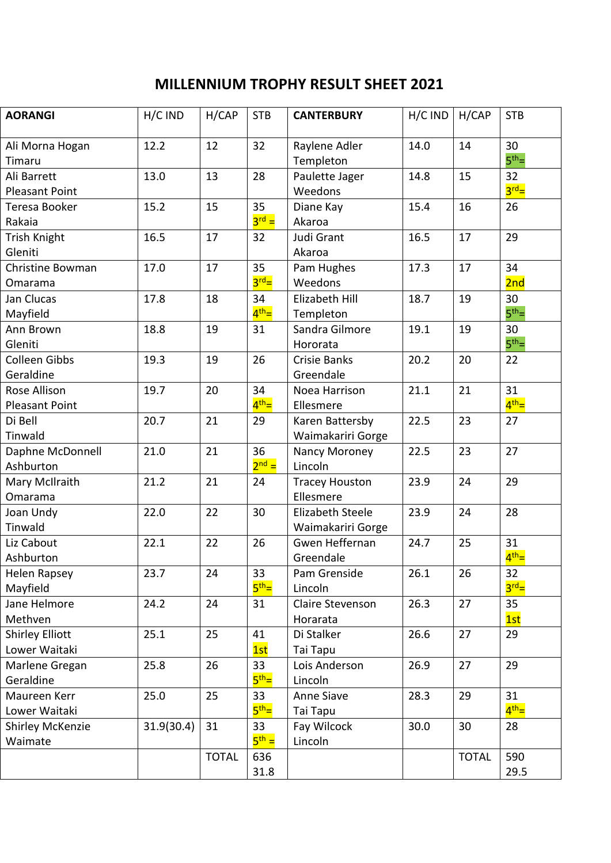## **MILLENNIUM TROPHY RESULT SHEET 2021**

| <b>AORANGI</b>         | H/C IND    | H/CAP        | <b>STB</b>              | <b>CANTERBURY</b>         | H/C IND | H/CAP        | <b>STB</b>             |
|------------------------|------------|--------------|-------------------------|---------------------------|---------|--------------|------------------------|
|                        |            |              |                         |                           |         |              |                        |
| Ali Morna Hogan        | 12.2       | 12           | 32                      | Raylene Adler             | 14.0    | 14           | 30<br>$5th$ =          |
| Timaru                 |            |              |                         | Templeton                 |         | 15           |                        |
| Ali Barrett            | 13.0       | 13           | 28                      | Paulette Jager<br>Weedons | 14.8    |              | 32<br>$3^{\text{rd}}=$ |
| <b>Pleasant Point</b>  |            |              |                         |                           |         |              |                        |
| Teresa Booker          | 15.2       | 15           | 35<br>$3^{\text{rd}}$ = | Diane Kay                 | 15.4    | 16           | 26                     |
| Rakaia                 |            |              |                         | Akaroa                    |         |              |                        |
| Trish Knight           | 16.5       | 17           | 32                      | Judi Grant                | 16.5    | 17           | 29                     |
| Gleniti                |            |              |                         | Akaroa                    |         |              |                        |
| Christine Bowman       | 17.0       | 17           | 35<br>$3^{\text{rd}}=$  | Pam Hughes                | 17.3    | 17           | 34                     |
| Omarama                |            |              |                         | Weedons                   |         |              | 2nd                    |
| Jan Clucas             | 17.8       | 18           | 34                      | Elizabeth Hill            | 18.7    | 19           | 30                     |
| Mayfield               |            |              | $4th$ =                 | Templeton                 |         |              | $5th$ =                |
| Ann Brown              | 18.8       | 19           | 31                      | Sandra Gilmore            | 19.1    | 19           | 30                     |
| Gleniti                |            |              |                         | Hororata                  |         |              | $5th$ =                |
| <b>Colleen Gibbs</b>   | 19.3       | 19           | 26                      | <b>Crisie Banks</b>       | 20.2    | 20           | 22                     |
| Geraldine              |            |              |                         | Greendale                 |         |              |                        |
| Rose Allison           | 19.7       | 20           | 34                      | Noea Harrison             | 21.1    | 21           | 31                     |
| <b>Pleasant Point</b>  |            |              | $4th$ =                 | Ellesmere                 |         |              | $4th$ =                |
| Di Bell                | 20.7       | 21           | 29                      | Karen Battersby           | 22.5    | 23           | 27                     |
| Tinwald                |            |              |                         | Waimakariri Gorge         |         |              |                        |
| Daphne McDonnell       | 21.0       | 21           | 36                      | Nancy Moroney             | 22.5    | 23           | 27                     |
| Ashburton              |            |              | $2^{nd} =$              | Lincoln                   |         |              |                        |
| Mary McIlraith         | 21.2       | 21           | 24                      | <b>Tracey Houston</b>     | 23.9    | 24           | 29                     |
| Omarama                |            |              |                         | Ellesmere                 |         |              |                        |
| Joan Undy              | 22.0       | 22           | 30                      | <b>Elizabeth Steele</b>   | 23.9    | 24           | 28                     |
| Tinwald                |            |              |                         | Waimakariri Gorge         |         |              |                        |
| Liz Cabout             | 22.1       | 22           | 26                      | Gwen Heffernan            | 24.7    | 25           | 31                     |
| Ashburton              |            |              |                         | Greendale                 |         |              | 4 <sup>th</sup>        |
| Helen Rapsey           | 23.7       | 24           | 33                      | Pam Grenside              | 26.1    | 26           | 32                     |
| Mayfield               |            |              | $5^{\text{th}}=$        | Lincoln                   |         |              | $3^{\text{rd}}=$       |
| Jane Helmore           | 24.2       | 24           | 31                      | Claire Stevenson          | 26.3    | 27           | 35                     |
| Methven                |            |              |                         | Horarata                  |         |              | 1st                    |
| <b>Shirley Elliott</b> | 25.1       | 25           | 41                      | Di Stalker                | 26.6    | 27           | 29                     |
| Lower Waitaki          |            |              | 1st                     | Tai Tapu                  |         |              |                        |
| Marlene Gregan         | 25.8       | 26           | 33                      | Lois Anderson             | 26.9    | 27           | 29                     |
| Geraldine              |            |              | 5 <sup>th</sup>         | Lincoln                   |         |              |                        |
| Maureen Kerr           | 25.0       | 25           | 33                      | Anne Siave                | 28.3    | 29           | 31                     |
| Lower Waitaki          |            |              | 5 <sup>th</sup>         | Tai Tapu                  |         |              | 4 <sup>th</sup>        |
| Shirley McKenzie       | 31.9(30.4) | 31           | 33                      | Fay Wilcock               | 30.0    | 30           | 28                     |
| Waimate                |            |              | $5^{\text{th}} =$       | Lincoln                   |         |              |                        |
|                        |            | <b>TOTAL</b> | 636                     |                           |         | <b>TOTAL</b> | 590                    |
|                        |            |              | 31.8                    |                           |         |              | 29.5                   |